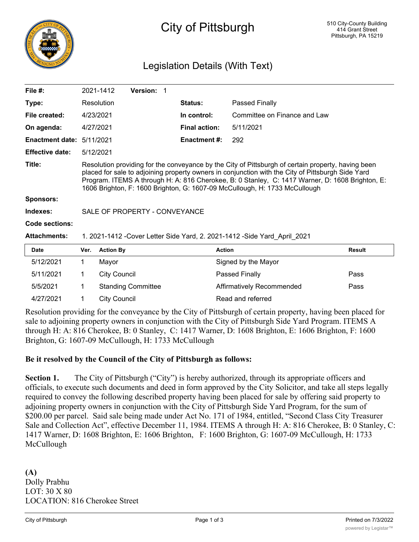

# City of Pittsburgh

# Legislation Details (With Text)

| File $#$ :             | 2021-1412                                                                                                                                                                                                                                                                                                                                                                                | <b>Version:</b> |                      |                              |  |  |
|------------------------|------------------------------------------------------------------------------------------------------------------------------------------------------------------------------------------------------------------------------------------------------------------------------------------------------------------------------------------------------------------------------------------|-----------------|----------------------|------------------------------|--|--|
| Type:                  | Resolution                                                                                                                                                                                                                                                                                                                                                                               |                 | <b>Status:</b>       | Passed Finally               |  |  |
| File created:          | 4/23/2021                                                                                                                                                                                                                                                                                                                                                                                |                 | In control:          | Committee on Finance and Law |  |  |
| On agenda:             | 4/27/2021                                                                                                                                                                                                                                                                                                                                                                                |                 | <b>Final action:</b> | 5/11/2021                    |  |  |
| <b>Enactment date:</b> | 5/11/2021                                                                                                                                                                                                                                                                                                                                                                                |                 | <b>Enactment #:</b>  | 292                          |  |  |
| <b>Effective date:</b> | 5/12/2021                                                                                                                                                                                                                                                                                                                                                                                |                 |                      |                              |  |  |
| Title:                 | Resolution providing for the conveyance by the City of Pittsburgh of certain property, having been<br>placed for sale to adjoining property owners in conjunction with the City of Pittsburgh Side Yard<br>Program. ITEMS A through H: A: 816 Cherokee, B: 0 Stanley, C: 1417 Warner, D: 1608 Brighton, E:<br>1606 Brighton, F: 1600 Brighton, G: 1607-09 McCullough, H: 1733 McCullough |                 |                      |                              |  |  |
| <b>Sponsors:</b>       |                                                                                                                                                                                                                                                                                                                                                                                          |                 |                      |                              |  |  |
| Indexes:               | SALE OF PROPERTY - CONVEYANCE                                                                                                                                                                                                                                                                                                                                                            |                 |                      |                              |  |  |
| Code sections:         |                                                                                                                                                                                                                                                                                                                                                                                          |                 |                      |                              |  |  |
| <b>Attachments:</b>    | 1. 2021-1412 -Cover Letter Side Yard, 2. 2021-1412 -Side Yard April 2021                                                                                                                                                                                                                                                                                                                 |                 |                      |                              |  |  |
| <b>Date</b>            | <b>Action By</b><br>Ver.                                                                                                                                                                                                                                                                                                                                                                 |                 | <b>Action</b>        | <b>Result</b>                |  |  |

| Date      | Ver. Action By            | Action                    | Result |
|-----------|---------------------------|---------------------------|--------|
| 5/12/2021 | Mavor                     | Signed by the Mayor       |        |
| 5/11/2021 | City Council              | Passed Finally            | Pass   |
| 5/5/2021  | <b>Standing Committee</b> | Affirmatively Recommended | Pass   |
| 4/27/2021 | City Council              | Read and referred         |        |

Resolution providing for the conveyance by the City of Pittsburgh of certain property, having been placed for sale to adjoining property owners in conjunction with the City of Pittsburgh Side Yard Program. ITEMS A through H: A: 816 Cherokee, B: 0 Stanley, C: 1417 Warner, D: 1608 Brighton, E: 1606 Brighton, F: 1600 Brighton, G: 1607-09 McCullough, H: 1733 McCullough

#### **Be it resolved by the Council of the City of Pittsburgh as follows:**

Section 1. The City of Pittsburgh ("City") is hereby authorized, through its appropriate officers and officials, to execute such documents and deed in form approved by the City Solicitor, and take all steps legally required to convey the following described property having been placed for sale by offering said property to adjoining property owners in conjunction with the City of Pittsburgh Side Yard Program, for the sum of \$200.00 per parcel. Said sale being made under Act No. 171 of 1984, entitled, "Second Class City Treasurer Sale and Collection Act", effective December 11, 1984. ITEMS A through H: A: 816 Cherokee, B: 0 Stanley, C: 1417 Warner, D: 1608 Brighton, E: 1606 Brighton, F: 1600 Brighton, G: 1607-09 McCullough, H: 1733 McCullough

**(A)** Dolly Prabhu LOT: 30 X 80 LOCATION: 816 Cherokee Street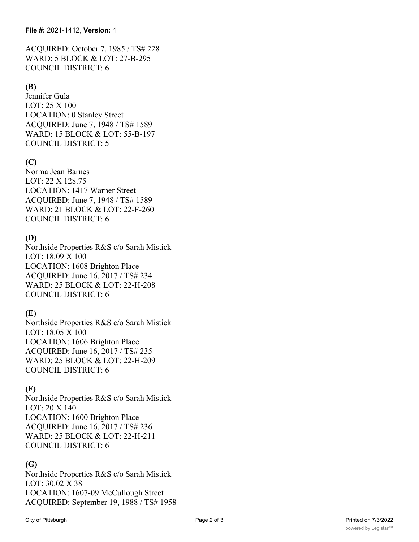ACQUIRED: October 7, 1985 / TS# 228 WARD: 5 BLOCK & LOT: 27-B-295 COUNCIL DISTRICT: 6

#### **(B)**

Jennifer Gula LOT: 25 X 100 LOCATION: 0 Stanley Street ACQUIRED: June 7, 1948 / TS# 1589 WARD: 15 BLOCK & LOT: 55-B-197 COUNCIL DISTRICT: 5

### **(C)**

Norma Jean Barnes LOT: 22 X 128.75 LOCATION: 1417 Warner Street ACQUIRED: June 7, 1948 / TS# 1589 WARD: 21 BLOCK & LOT: 22-F-260 COUNCIL DISTRICT: 6

#### **(D)**

Northside Properties R&S c/o Sarah Mistick LOT: 18.09 X 100 LOCATION: 1608 Brighton Place ACQUIRED: June 16, 2017 / TS# 234 WARD: 25 BLOCK & LOT: 22-H-208 COUNCIL DISTRICT: 6

# **(E)**

Northside Properties R&S c/o Sarah Mistick LOT: 18.05 X 100 LOCATION: 1606 Brighton Place ACQUIRED: June 16, 2017 / TS# 235 WARD: 25 BLOCK & LOT: 22-H-209 COUNCIL DISTRICT: 6

#### **(F)**

Northside Properties R&S c/o Sarah Mistick LOT: 20 X 140 LOCATION: 1600 Brighton Place ACQUIRED: June 16, 2017 / TS# 236 WARD: 25 BLOCK & LOT: 22-H-211 COUNCIL DISTRICT: 6

#### **(G)**

Northside Properties R&S c/o Sarah Mistick LOT: 30.02 X 38 LOCATION: 1607-09 McCullough Street ACQUIRED: September 19, 1988 / TS# 1958